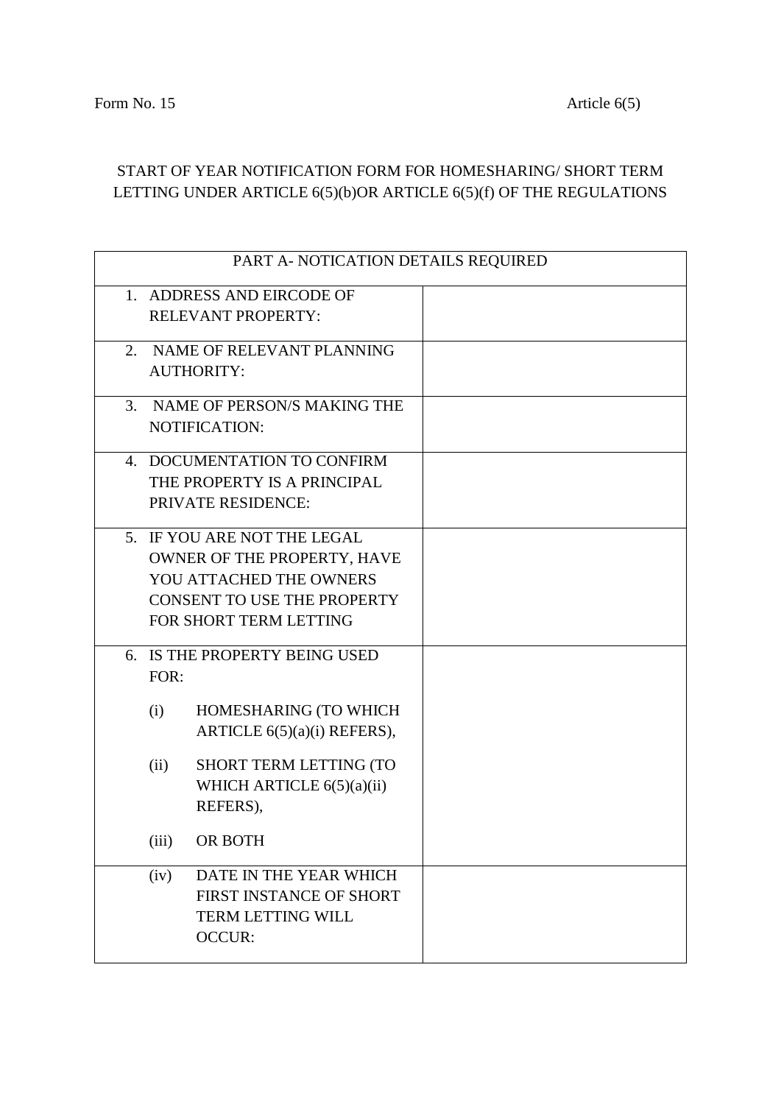## START OF YEAR NOTIFICATION FORM FOR HOMESHARING/ SHORT TERM LETTING UNDER ARTICLE 6(5)(b)OR ARTICLE 6(5)(f) OF THE REGULATIONS

| PART A- NOTICATION DETAILS REQUIRED |  |  |
|-------------------------------------|--|--|
| 1. ADDRESS AND EIRCODE OF           |  |  |
| <b>RELEVANT PROPERTY:</b>           |  |  |
|                                     |  |  |
| NAME OF RELEVANT PLANNING<br>2.     |  |  |
| <b>AUTHORITY:</b>                   |  |  |
|                                     |  |  |
| NAME OF PERSON/S MAKING THE<br>3.   |  |  |
| NOTIFICATION:                       |  |  |
| 4. DOCUMENTATION TO CONFIRM         |  |  |
| THE PROPERTY IS A PRINCIPAL         |  |  |
| PRIVATE RESIDENCE:                  |  |  |
|                                     |  |  |
| 5. IF YOU ARE NOT THE LEGAL         |  |  |
| OWNER OF THE PROPERTY, HAVE         |  |  |
| YOU ATTACHED THE OWNERS             |  |  |
| <b>CONSENT TO USE THE PROPERTY</b>  |  |  |
| FOR SHORT TERM LETTING              |  |  |
| 6. IS THE PROPERTY BEING USED       |  |  |
| FOR:                                |  |  |
|                                     |  |  |
| HOMESHARING (TO WHICH<br>(i)        |  |  |
| ARTICLE 6(5)(a)(i) REFERS),         |  |  |
|                                     |  |  |
| SHORT TERM LETTING (TO<br>(ii)      |  |  |
| WHICH ARTICLE 6(5)(a)(ii)           |  |  |
| REFERS),                            |  |  |
| (iii)<br>OR BOTH                    |  |  |
|                                     |  |  |
| DATE IN THE YEAR WHICH<br>(iv)      |  |  |
| FIRST INSTANCE OF SHORT             |  |  |
| <b>TERM LETTING WILL</b>            |  |  |
| <b>OCCUR:</b>                       |  |  |
|                                     |  |  |